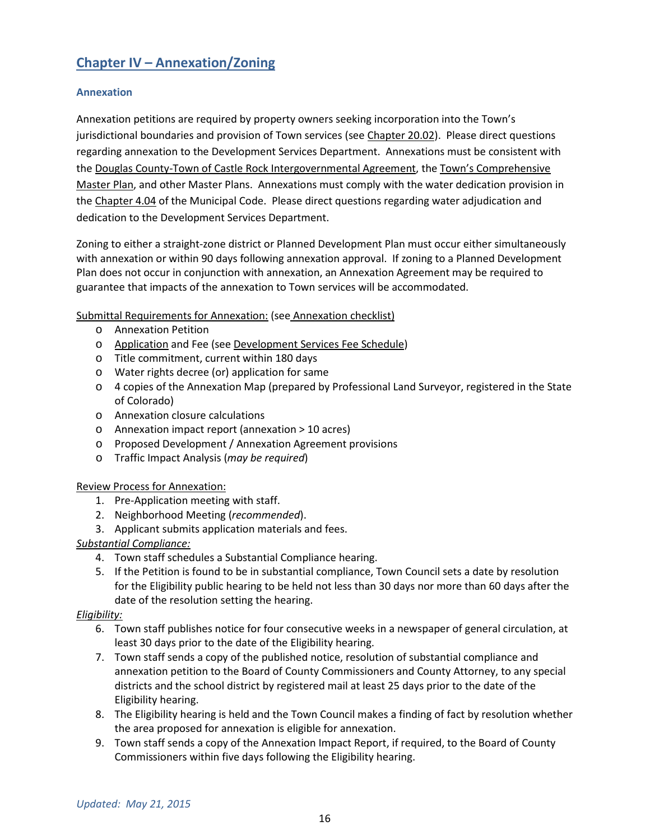# **Chapter IV – Annexation/Zoning**

## **Annexation**

Annexation petitions are required by property owners seeking incorporation into the Town's jurisdictional boundaries and provision of Town services (see Chapter 20.02). Please direct questions regarding annexation to the Development Services Department. Annexations must be consistent with the Douglas County-Town of Castle Rock Intergovernmental Agreement, the Town's Comprehensive Master Plan, and other Master Plans. Annexations must comply with the water dedication provision in the Chapter 4.04 of the Municipal Code. Please direct questions regarding water adjudication and dedication to the Development Services Department.

Zoning to either a straight-zone district or Planned Development Plan must occur either simultaneously with annexation or within 90 days following annexation approval. If zoning to a Planned Development Plan does not occur in conjunction with annexation, an Annexation Agreement may be required to guarantee that impacts of the annexation to Town services will be accommodated.

## Submittal Requirements for Annexation: (see Annexation checklist)

- o Annexation Petition
- o Application and Fee (see Development Services Fee Schedule)
- o Title commitment, current within 180 days
- o Water rights decree (or) application for same
- o 4 copies of the Annexation Map (prepared by Professional Land Surveyor, registered in the State of Colorado)
- o Annexation closure calculations
- o Annexation impact report (annexation > 10 acres)
- o Proposed Development / Annexation Agreement provisions
- o Traffic Impact Analysis (*may be required*)

## Review Process for Annexation:

- 1. Pre-Application meeting with staff.
- 2. Neighborhood Meeting (*recommended*).
- 3. Applicant submits application materials and fees.

## *Substantial Compliance:*

- 4. Town staff schedules a Substantial Compliance hearing.
- 5. If the Petition is found to be in substantial compliance, Town Council sets a date by resolution for the Eligibility public hearing to be held not less than 30 days nor more than 60 days after the date of the resolution setting the hearing.

## *Eligibility:*

- 6. Town staff publishes notice for four consecutive weeks in a newspaper of general circulation, at least 30 days prior to the date of the Eligibility hearing.
- 7. Town staff sends a copy of the published notice, resolution of substantial compliance and annexation petition to the Board of County Commissioners and County Attorney, to any special districts and the school district by registered mail at least 25 days prior to the date of the Eligibility hearing.
- 8. The Eligibility hearing is held and the Town Council makes a finding of fact by resolution whether the area proposed for annexation is eligible for annexation.
- 9. Town staff sends a copy of the Annexation Impact Report, if required, to the Board of County Commissioners within five days following the Eligibility hearing.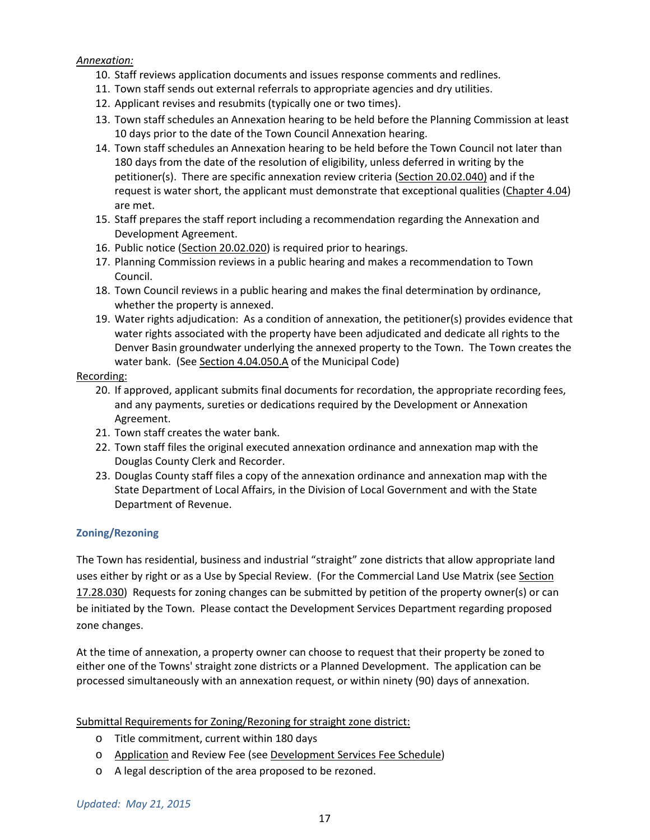## *Annexation:*

- 10. Staff reviews application documents and issues response comments and redlines.
- 11. Town staff sends out external referrals to appropriate agencies and dry utilities.
- 12. Applicant revises and resubmits (typically one or two times).
- 13. Town staff schedules an Annexation hearing to be held before the Planning Commission at least 10 days prior to the date of the Town Council Annexation hearing.
- 14. Town staff schedules an Annexation hearing to be held before the Town Council not later than 180 days from the date of the resolution of eligibility, unless deferred in writing by the petitioner(s). There are specific annexation review criteria (Section 20.02.040) and if the request is water short, the applicant must demonstrate that exceptional qualities (Chapter 4.04) are met.
- 15. Staff prepares the staff report including a recommendation regarding the Annexation and Development Agreement.
- 16. Public notice (Section 20.02.020) is required prior to hearings.
- 17. Planning Commission reviews in a public hearing and makes a recommendation to Town Council.
- 18. Town Council reviews in a public hearing and makes the final determination by ordinance, whether the property is annexed.
- 19. Water rights adjudication: As a condition of annexation, the petitioner(s) provides evidence that water rights associated with the property have been adjudicated and dedicate all rights to the Denver Basin groundwater underlying the annexed property to the Town. The Town creates the water bank. (See Section 4.04.050.A of the Municipal Code)

## Recording:

- 20. If approved, applicant submits final documents for recordation, the appropriate recording fees, and any payments, sureties or dedications required by the Development or Annexation Agreement.
- 21. Town staff creates the water bank.
- 22. Town staff files the original executed annexation ordinance and annexation map with the Douglas County Clerk and Recorder.
- 23. Douglas County staff files a copy of the annexation ordinance and annexation map with the State Department of Local Affairs, in the Division of Local Government and with the State Department of Revenue.

## **Zoning/Rezoning**

The Town has residential, business and industrial "straight" zone districts that allow appropriate land uses either by right or as a Use by Special Review. (For the Commercial Land Use Matrix (see Section 17.28.030) Requests for zoning changes can be submitted by petition of the property owner(s) or can be initiated by the Town. Please contact the Development Services Department regarding proposed zone changes.

At the time of annexation, a property owner can choose to request that their property be zoned to either one of the Towns' straight zone districts or a Planned Development. The application can be processed simultaneously with an annexation request, or within ninety (90) days of annexation.

## Submittal Requirements for Zoning/Rezoning for straight zone district:

- o Title commitment, current within 180 days
- o Application and Review Fee (see Development Services Fee Schedule)
- o A legal description of the area proposed to be rezoned.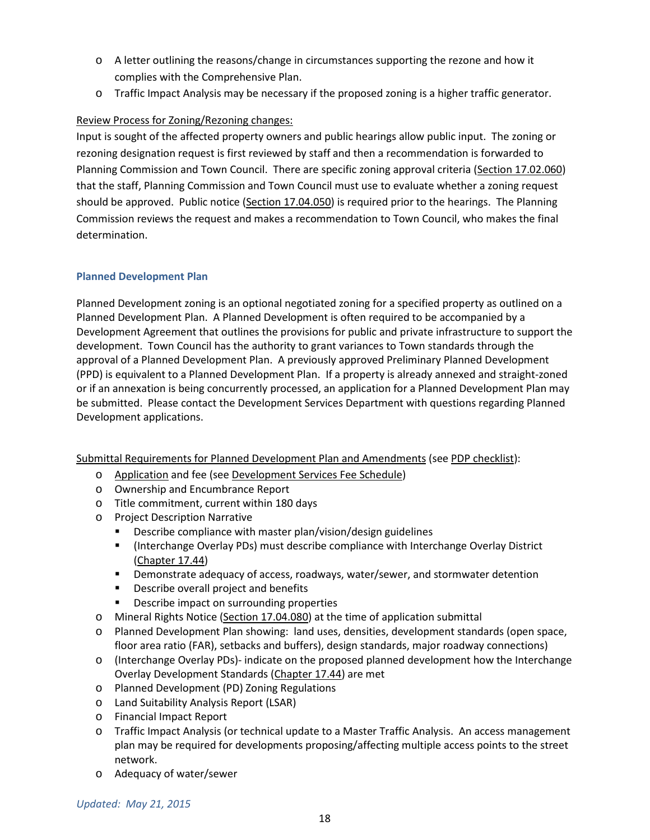- o A letter outlining the reasons/change in circumstances supporting the rezone and how it complies with the Comprehensive Plan.
- o Traffic Impact Analysis may be necessary if the proposed zoning is a higher traffic generator.

## Review Process for Zoning/Rezoning changes:

Input is sought of the affected property owners and public hearings allow public input. The zoning or rezoning designation request is first reviewed by staff and then a recommendation is forwarded to Planning Commission and Town Council. There are specific zoning approval criteria (Section 17.02.060) that the staff, Planning Commission and Town Council must use to evaluate whether a zoning request should be approved. Public notice (Section 17.04.050) is required prior to the hearings. The Planning Commission reviews the request and makes a recommendation to Town Council, who makes the final determination.

## **Planned Development Plan**

Planned Development zoning is an optional negotiated zoning for a specified property as outlined on a Planned Development Plan. A Planned Development is often required to be accompanied by a Development Agreement that outlines the provisions for public and private infrastructure to support the development. Town Council has the authority to grant variances to Town standards through the approval of a Planned Development Plan. A previously approved Preliminary Planned Development (PPD) is equivalent to a Planned Development Plan. If a property is already annexed and straight-zoned or if an annexation is being concurrently processed, an application for a Planned Development Plan may be submitted. Please contact the Development Services Department with questions regarding Planned Development applications.

Submittal Requirements for Planned Development Plan and Amendments (see PDP checklist):

- o Application and fee (see Development Services Fee Schedule)
- o Ownership and Encumbrance Report
- o Title commitment, current within 180 days
- o Project Description Narrative
	- **Describe compliance with master plan/vision/design guidelines**
	- (Interchange Overlay PDs) must describe compliance with Interchange Overlay District (Chapter 17.44)
	- Demonstrate adequacy of access, roadways, water/sewer, and stormwater detention
	- **•** Describe overall project and benefits
	- **•** Describe impact on surrounding properties
- o Mineral Rights Notice (Section 17.04.080) at the time of application submittal
- o Planned Development Plan showing: land uses, densities, development standards (open space, floor area ratio (FAR), setbacks and buffers), design standards, major roadway connections)
- o (Interchange Overlay PDs)- indicate on the proposed planned development how the Interchange Overlay Development Standards (Chapter 17.44) are met
- o Planned Development (PD) Zoning Regulations
- o Land Suitability Analysis Report (LSAR)
- o Financial Impact Report
- o Traffic Impact Analysis (or technical update to a Master Traffic Analysis. An access management plan may be required for developments proposing/affecting multiple access points to the street network.
- o Adequacy of water/sewer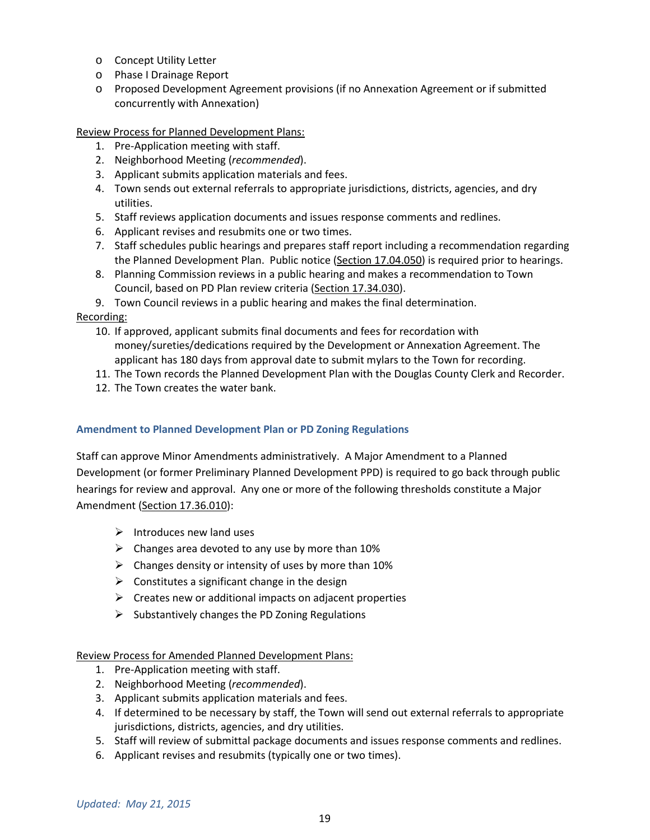- o Concept Utility Letter
- o Phase I Drainage Report
- o Proposed Development Agreement provisions (if no Annexation Agreement or if submitted concurrently with Annexation)

Review Process for Planned Development Plans:

- 1. Pre-Application meeting with staff.
- 2. Neighborhood Meeting (*recommended*).
- 3. Applicant submits application materials and fees.
- 4. Town sends out external referrals to appropriate jurisdictions, districts, agencies, and dry utilities.
- 5. Staff reviews application documents and issues response comments and redlines.
- 6. Applicant revises and resubmits one or two times.
- 7. Staff schedules public hearings and prepares staff report including a recommendation regarding the Planned Development Plan. Public notice (Section 17.04.050) is required prior to hearings.
- 8. Planning Commission reviews in a public hearing and makes a recommendation to Town Council, based on PD Plan review criteria (Section 17.34.030).
- 9. Town Council reviews in a public hearing and makes the final determination.

## Recording:

- 10. If approved, applicant submits final documents and fees for recordation with money/sureties/dedications required by the Development or Annexation Agreement. The applicant has 180 days from approval date to submit mylars to the Town for recording.
- 11. The Town records the Planned Development Plan with the Douglas County Clerk and Recorder.
- 12. The Town creates the water bank.

## **Amendment to Planned Development Plan or PD Zoning Regulations**

Staff can approve Minor Amendments administratively. A Major Amendment to a Planned Development (or former Preliminary Planned Development PPD) is required to go back through public hearings for review and approval. Any one or more of the following thresholds constitute a Major Amendment (Section 17.36.010):

- $\triangleright$  Introduces new land uses
- $\triangleright$  Changes area devoted to any use by more than 10%
- $\triangleright$  Changes density or intensity of uses by more than 10%
- $\triangleright$  Constitutes a significant change in the design
- $\triangleright$  Creates new or additional impacts on adjacent properties
- $\triangleright$  Substantively changes the PD Zoning Regulations

## Review Process for Amended Planned Development Plans:

- 1. Pre-Application meeting with staff.
- 2. Neighborhood Meeting (*recommended*).
- 3. Applicant submits application materials and fees.
- 4. If determined to be necessary by staff, the Town will send out external referrals to appropriate jurisdictions, districts, agencies, and dry utilities.
- 5. Staff will review of submittal package documents and issues response comments and redlines.
- 6. Applicant revises and resubmits (typically one or two times).